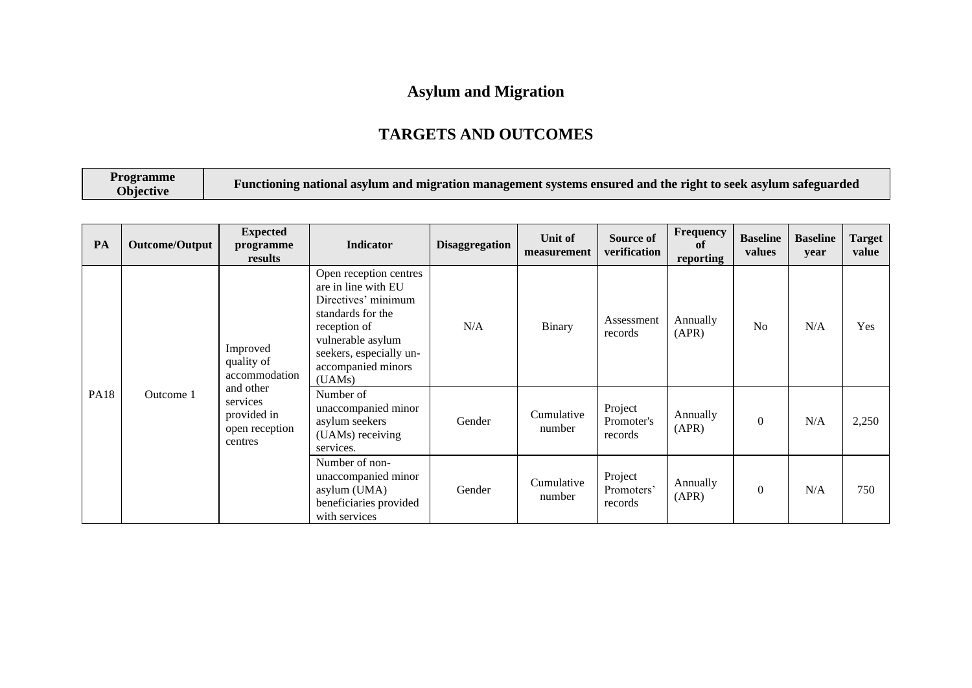## **Asylum and Migration**

## **TARGETS AND OUTCOMES**

| <b>Programme</b><br>Objective | Functioning national asylum and migration management systems ensured and the right to seek asylum safeguarded |
|-------------------------------|---------------------------------------------------------------------------------------------------------------|
|-------------------------------|---------------------------------------------------------------------------------------------------------------|

| PA          | <b>Outcome/Output</b>                                                          | <b>Expected</b><br>programme<br>results                                             | Indicator                                                                                                                                                                                 | <b>Disaggregation</b> | Unit of<br>measurement           | Source of<br>verification        | Frequency<br>of<br>reporting | <b>Baseline</b><br>values | <b>Baseline</b><br>year | Target<br>value |
|-------------|--------------------------------------------------------------------------------|-------------------------------------------------------------------------------------|-------------------------------------------------------------------------------------------------------------------------------------------------------------------------------------------|-----------------------|----------------------------------|----------------------------------|------------------------------|---------------------------|-------------------------|-----------------|
| <b>PA18</b> |                                                                                | Improved<br>quality of<br>accommodation                                             | Open reception centres<br>are in line with EU<br>Directives' minimum<br>standards for the<br>reception of<br>vulnerable asylum<br>seekers, especially un-<br>accompanied minors<br>(UAMs) | N/A                   | Binary                           | Assessment<br>records            | Annually<br>(APR)            | N <sub>0</sub>            | N/A                     | Yes             |
|             | and other<br>Outcome 1<br>services<br>provided in<br>open reception<br>centres | Number of<br>unaccompanied minor<br>asylum seekers<br>(UAMs) receiving<br>services. | Gender                                                                                                                                                                                    | Cumulative<br>number  | Project<br>Promoter's<br>records | Annually<br>(APR)                | $\Omega$                     | N/A                       | 2,250                   |                 |
|             |                                                                                |                                                                                     | Number of non-<br>unaccompanied minor<br>asylum (UMA)<br>beneficiaries provided<br>with services                                                                                          | Gender                | Cumulative<br>number             | Project<br>Promoters'<br>records | Annually<br>(APR)            | $\Omega$                  | N/A                     | 750             |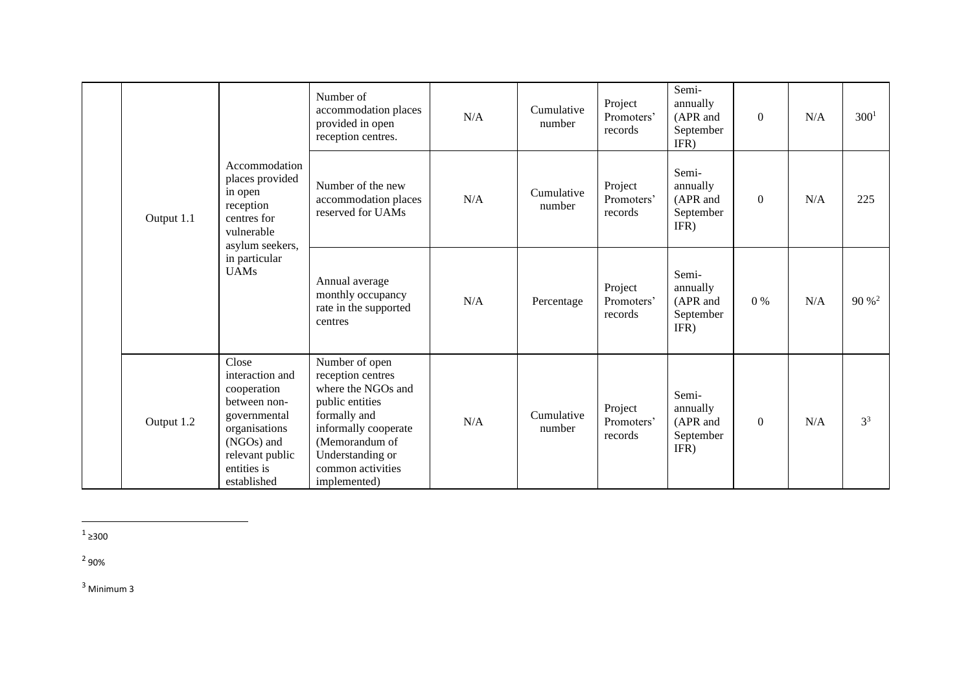|  | Output 1.1 | Accommodation<br>places provided<br>in open<br>reception<br>centres for<br>vulnerable<br>asylum seekers,<br>in particular<br><b>UAMs</b>                | Number of<br>accommodation places<br>provided in open<br>reception centres.                                                                                                                     | N/A | Cumulative<br>number | Project<br>Promoters'<br>records | Semi-<br>annually<br>(APR and<br>September<br>IFR) | $\theta$ | N/A | 300 <sup>1</sup> |
|--|------------|---------------------------------------------------------------------------------------------------------------------------------------------------------|-------------------------------------------------------------------------------------------------------------------------------------------------------------------------------------------------|-----|----------------------|----------------------------------|----------------------------------------------------|----------|-----|------------------|
|  |            |                                                                                                                                                         | Number of the new<br>accommodation places<br>reserved for UAMs                                                                                                                                  | N/A | Cumulative<br>number | Project<br>Promoters'<br>records | Semi-<br>annually<br>(APR and<br>September<br>IFR) | $\theta$ | N/A | 225              |
|  |            |                                                                                                                                                         | Annual average<br>monthly occupancy<br>rate in the supported<br>centres                                                                                                                         | N/A | Percentage           | Project<br>Promoters'<br>records | Semi-<br>annually<br>(APR and<br>September<br>IFR) | 0%       | N/A | $90\%^2$         |
|  | Output 1.2 | Close<br>interaction and<br>cooperation<br>between non-<br>governmental<br>organisations<br>(NGOs) and<br>relevant public<br>entities is<br>established | Number of open<br>reception centres<br>where the NGOs and<br>public entities<br>formally and<br>informally cooperate<br>(Memorandum of<br>Understanding or<br>common activities<br>implemented) | N/A | Cumulative<br>number | Project<br>Promoters'<br>records | Semi-<br>annually<br>(APR and<br>September<br>IFR) | $\Omega$ | N/A | 3 <sup>3</sup>   |

 $1$  ≥300

 $^{2}$  90%

<sup>3</sup> Minimum 3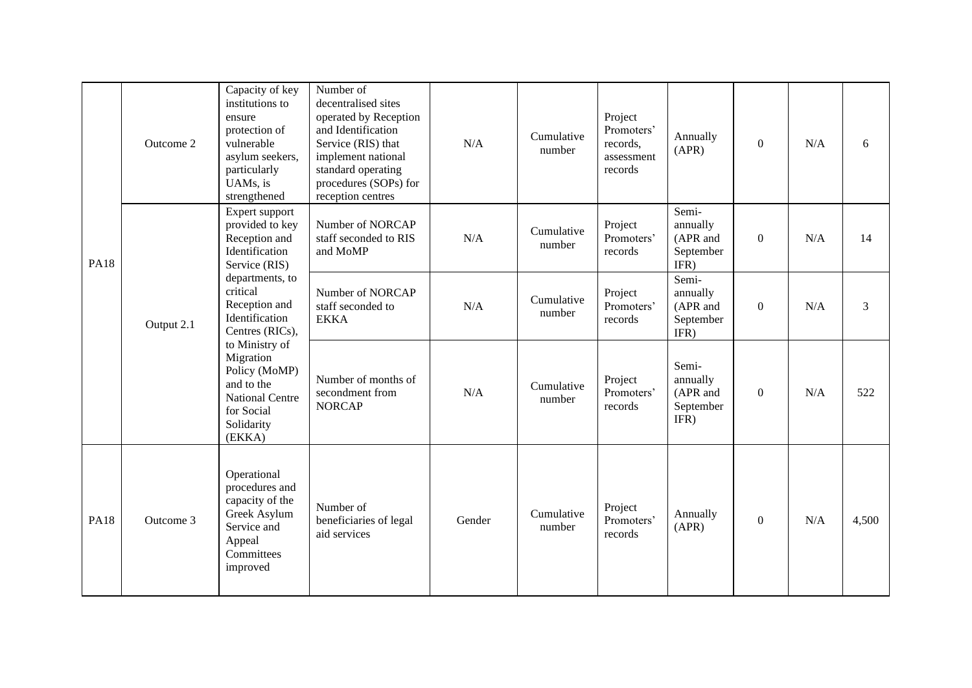|             | Outcome 2 | Capacity of key<br>institutions to<br>ensure<br>protection of<br>vulnerable<br>asylum seekers,<br>particularly<br>UAMs, is<br>strengthened                                                                                                                                                                             | Number of<br>decentralised sites<br>operated by Reception<br>and Identification<br>Service (RIS) that<br>implement national<br>standard operating<br>procedures (SOPs) for<br>reception centres | N/A    | Cumulative<br>number | Project<br>Promoters'<br>records,<br>assessment<br>records | Annually<br>(APR)                                  | $\Omega$ | N/A | 6     |
|-------------|-----------|------------------------------------------------------------------------------------------------------------------------------------------------------------------------------------------------------------------------------------------------------------------------------------------------------------------------|-------------------------------------------------------------------------------------------------------------------------------------------------------------------------------------------------|--------|----------------------|------------------------------------------------------------|----------------------------------------------------|----------|-----|-------|
| <b>PA18</b> |           | Expert support<br>provided to key<br>Reception and<br>Identification<br>Service (RIS)<br>departments, to<br>critical<br>Reception and<br>Identification<br>Output 2.1<br>Centres (RICs),<br>to Ministry of<br>Migration<br>Policy (MoMP)<br>and to the<br><b>National Centre</b><br>for Social<br>Solidarity<br>(EKKA) | Number of NORCAP<br>staff seconded to RIS<br>and MoMP                                                                                                                                           | N/A    | Cumulative<br>number | Project<br>Promoters'<br>records                           | Semi-<br>annually<br>(APR and<br>September<br>IFR) | $\Omega$ | N/A | 14    |
|             |           |                                                                                                                                                                                                                                                                                                                        | Number of NORCAP<br>staff seconded to<br><b>EKKA</b>                                                                                                                                            | N/A    | Cumulative<br>number | Project<br>Promoters'<br>records                           | Semi-<br>annually<br>(APR and<br>September<br>IFR) | $\Omega$ | N/A | 3     |
|             |           |                                                                                                                                                                                                                                                                                                                        | Number of months of<br>secondment from<br><b>NORCAP</b>                                                                                                                                         | N/A    | Cumulative<br>number | Project<br>Promoters'<br>records                           | Semi-<br>annually<br>(APR and<br>September<br>IFR) | $\Omega$ | N/A | 522   |
| <b>PA18</b> | Outcome 3 | Operational<br>procedures and<br>capacity of the<br>Greek Asylum<br>Service and<br>Appeal<br>Committees<br>improved                                                                                                                                                                                                    | Number of<br>beneficiaries of legal<br>aid services                                                                                                                                             | Gender | Cumulative<br>number | Project<br>Promoters'<br>records                           | Annually<br>(APR)                                  | $\Omega$ | N/A | 4,500 |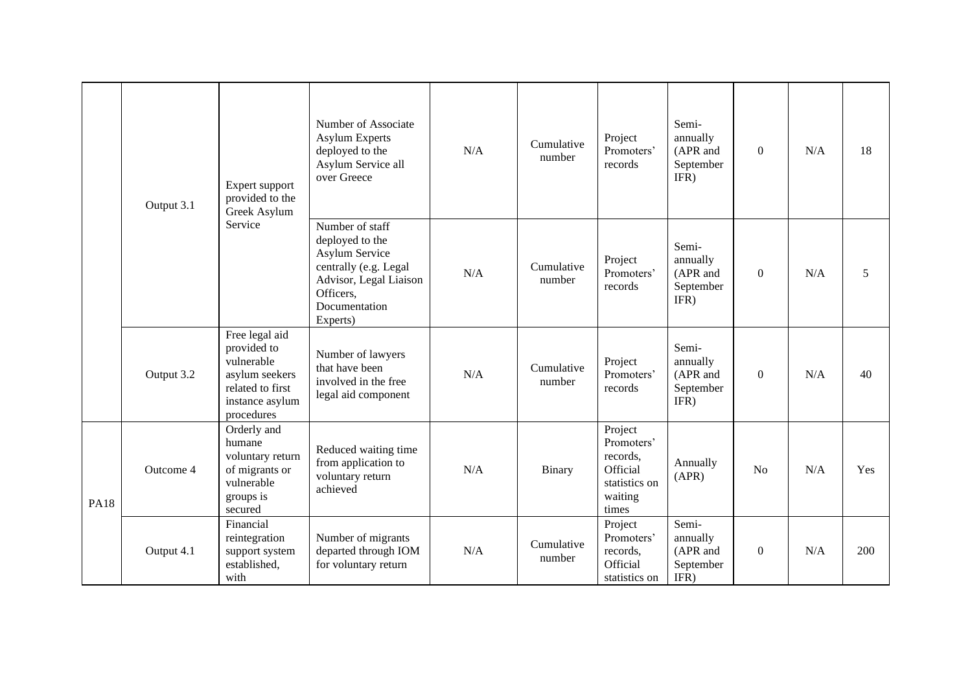|             | Output 3.1 | Expert support<br>provided to the<br>Greek Asylum<br>Service                                                       | Number of Associate<br><b>Asylum Experts</b><br>deployed to the<br>Asylum Service all<br>over Greece                                                     | N/A | Cumulative<br>number | Project<br>Promoters'<br>records                                                   | Semi-<br>annually<br>(APR and<br>September<br>IFR) | $\Omega$ | N/A | 18  |
|-------------|------------|--------------------------------------------------------------------------------------------------------------------|----------------------------------------------------------------------------------------------------------------------------------------------------------|-----|----------------------|------------------------------------------------------------------------------------|----------------------------------------------------|----------|-----|-----|
|             |            |                                                                                                                    | Number of staff<br>deployed to the<br><b>Asylum Service</b><br>centrally (e.g. Legal<br>Advisor, Legal Liaison<br>Officers,<br>Documentation<br>Experts) | N/A | Cumulative<br>number | Project<br>Promoters'<br>records                                                   | Semi-<br>annually<br>(APR and<br>September<br>IFR) | $\theta$ | N/A | 5   |
|             | Output 3.2 | Free legal aid<br>provided to<br>vulnerable<br>asylum seekers<br>related to first<br>instance asylum<br>procedures | Number of lawyers<br>that have been<br>involved in the free<br>legal aid component                                                                       | N/A | Cumulative<br>number | Project<br>Promoters'<br>records                                                   | Semi-<br>annually<br>(APR and<br>September<br>IFR) | $\theta$ | N/A | 40  |
| <b>PA18</b> | Outcome 4  | Orderly and<br>humane<br>voluntary return<br>of migrants or<br>vulnerable<br>groups is<br>secured                  | Reduced waiting time<br>from application to<br>voluntary return<br>achieved                                                                              | N/A | Binary               | Project<br>Promoters'<br>records,<br>Official<br>statistics on<br>waiting<br>times | Annually<br>(APR)                                  | No       | N/A | Yes |
|             | Output 4.1 | Financial<br>reintegration<br>support system<br>established,<br>with                                               | Number of migrants<br>departed through IOM<br>for voluntary return                                                                                       | N/A | Cumulative<br>number | Project<br>Promoters'<br>records,<br>Official<br>statistics on                     | Semi-<br>annually<br>(APR and<br>September<br>IFR) | $\Omega$ | N/A | 200 |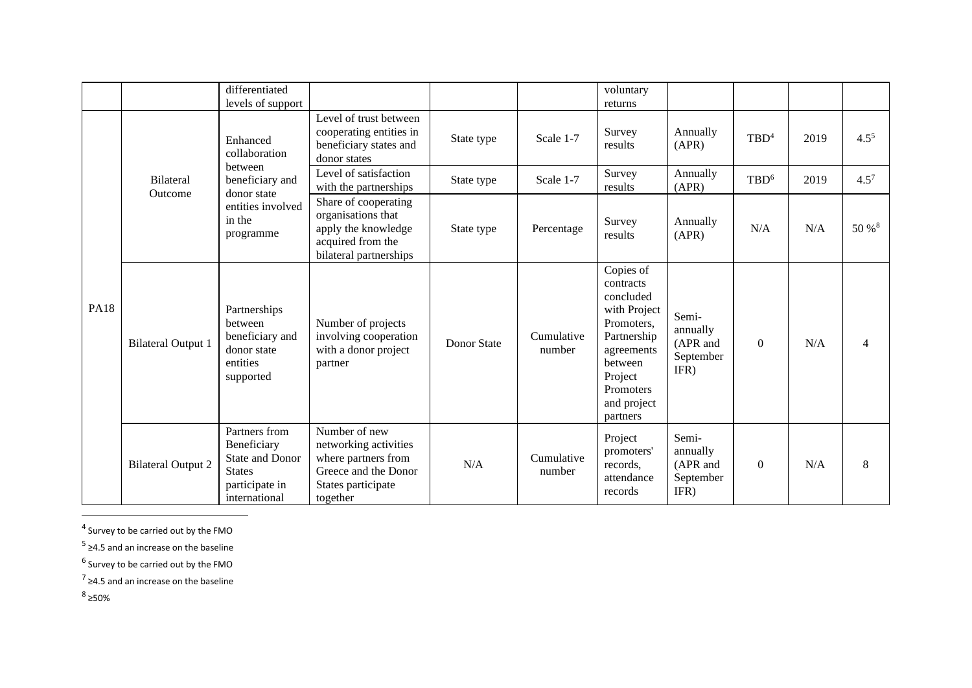|             |                                  | differentiated<br>levels of support                                                                 |                                                                                                                         |                    |                      | voluntary<br>returns                                                                                                                                         |                                                    |                  |      |                |
|-------------|----------------------------------|-----------------------------------------------------------------------------------------------------|-------------------------------------------------------------------------------------------------------------------------|--------------------|----------------------|--------------------------------------------------------------------------------------------------------------------------------------------------------------|----------------------------------------------------|------------------|------|----------------|
|             |                                  | Enhanced<br>collaboration                                                                           | Level of trust between<br>cooperating entities in<br>beneficiary states and<br>donor states                             | State type         | Scale 1-7            | Survey<br>results                                                                                                                                            | Annually<br>(APR)                                  | TBD <sup>4</sup> | 2019 | $4.5^{5}$      |
|             | <b>Bilateral</b>                 | between<br>beneficiary and                                                                          | Level of satisfaction<br>with the partnerships                                                                          | State type         | Scale 1-7            | Survey<br>results                                                                                                                                            | Annually<br>(APR)                                  | TBD <sup>6</sup> | 2019 | $4.5^7$        |
| <b>PA18</b> | Outcome<br>donor state<br>in the | entities involved<br>programme                                                                      | Share of cooperating<br>organisations that<br>apply the knowledge<br>acquired from the<br>bilateral partnerships        | State type         | Percentage           | Survey<br>results                                                                                                                                            | Annually<br>(APR)                                  | N/A              | N/A  | 50 % 8         |
|             | <b>Bilateral Output 1</b>        | Partnerships<br>between<br>beneficiary and<br>donor state<br>entities<br>supported                  | Number of projects<br>involving cooperation<br>with a donor project<br>partner                                          | <b>Donor State</b> | Cumulative<br>number | Copies of<br>contracts<br>concluded<br>with Project<br>Promoters,<br>Partnership<br>agreements<br>between<br>Project<br>Promoters<br>and project<br>partners | Semi-<br>annually<br>(APR and<br>September<br>IFR) | $\Omega$         | N/A  | $\overline{4}$ |
|             | <b>Bilateral Output 2</b>        | Partners from<br>Beneficiary<br>State and Donor<br><b>States</b><br>participate in<br>international | Number of new<br>networking activities<br>where partners from<br>Greece and the Donor<br>States participate<br>together | N/A                | Cumulative<br>number | Project<br>promoters'<br>records,<br>attendance<br>records                                                                                                   | Semi-<br>annually<br>(APR and<br>September<br>IFR) | $\Omega$         | N/A  | 8              |

 $<sup>4</sup>$  Survey to be carried out by the FMO</sup>

 $<sup>5</sup>$  ≥4.5 and an increase on the baseline</sup>

<sup>6</sup> Survey to be carried out by the FMO

 $^7$  ≥4.5 and an increase on the baseline

 $8$  ≥50%